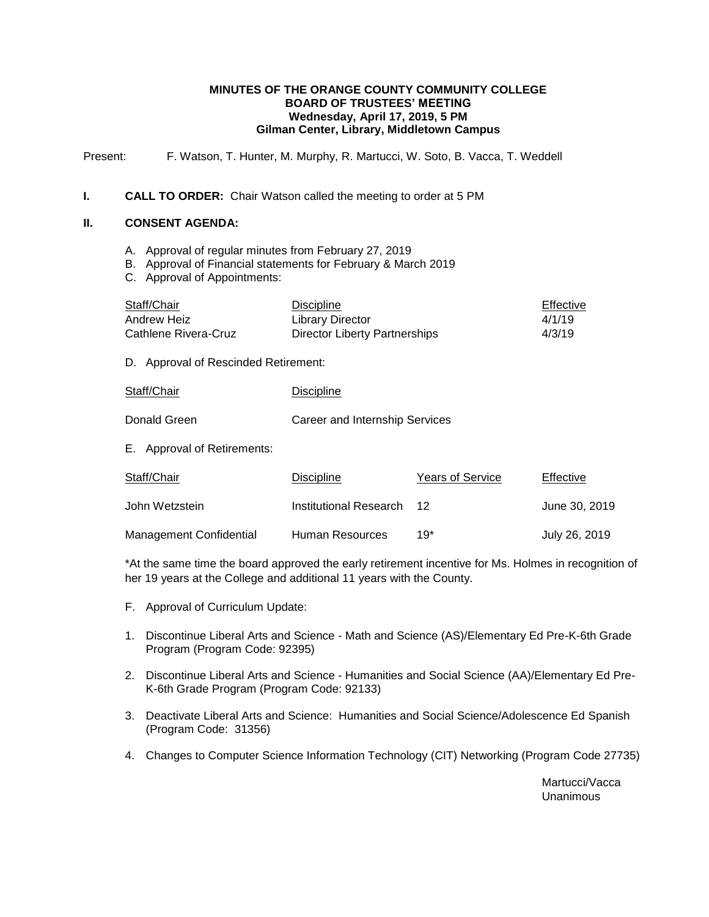## **MINUTES OF THE ORANGE COUNTY COMMUNITY COLLEGE BOARD OF TRUSTEES' MEETING Wednesday, April 17, 2019, 5 PM Gilman Center, Library, Middletown Campus**

Present: F. Watson, T. Hunter, M. Murphy, R. Martucci, W. Soto, B. Vacca, T. Weddell

## **I. CALL TO ORDER:** Chair Watson called the meeting to order at 5 PM

#### **II. CONSENT AGENDA:**

- A. Approval of regular minutes from February 27, 2019
- B. Approval of Financial statements for February & March 2019
- C. Approval of Appointments:

| Staff/Chair          | <b>Discipline</b>             | Effective |
|----------------------|-------------------------------|-----------|
| Andrew Heiz          | Library Director              | 4/1/19    |
| Cathlene Rivera-Cruz | Director Liberty Partnerships | 4/3/19    |

D. Approval of Rescinded Retirement:

| Staff/Chair                 | <b>Discipline</b>              |                         |           |
|-----------------------------|--------------------------------|-------------------------|-----------|
| Donald Green                | Career and Internship Services |                         |           |
| E. Approval of Retirements: |                                |                         |           |
| Staff/Chair                 | <b>Discipline</b>              | <b>Years of Service</b> | Effective |

| John Wetzstein          | Institutional Research 12 |       | June 30, 2019 |
|-------------------------|---------------------------|-------|---------------|
| Management Confidential | Human Resources           | $19*$ | July 26, 2019 |

\*At the same time the board approved the early retirement incentive for Ms. Holmes in recognition of her 19 years at the College and additional 11 years with the County.

- F. Approval of Curriculum Update:
- 1. Discontinue Liberal Arts and Science Math and Science (AS)/Elementary Ed Pre-K-6th Grade Program (Program Code: 92395)
- 2. Discontinue Liberal Arts and Science Humanities and Social Science (AA)/Elementary Ed Pre-K-6th Grade Program (Program Code: 92133)
- 3. Deactivate Liberal Arts and Science: Humanities and Social Science/Adolescence Ed Spanish (Program Code: 31356)
- 4. Changes to Computer Science Information Technology (CIT) Networking (Program Code 27735)

Martucci/Vacca Unanimous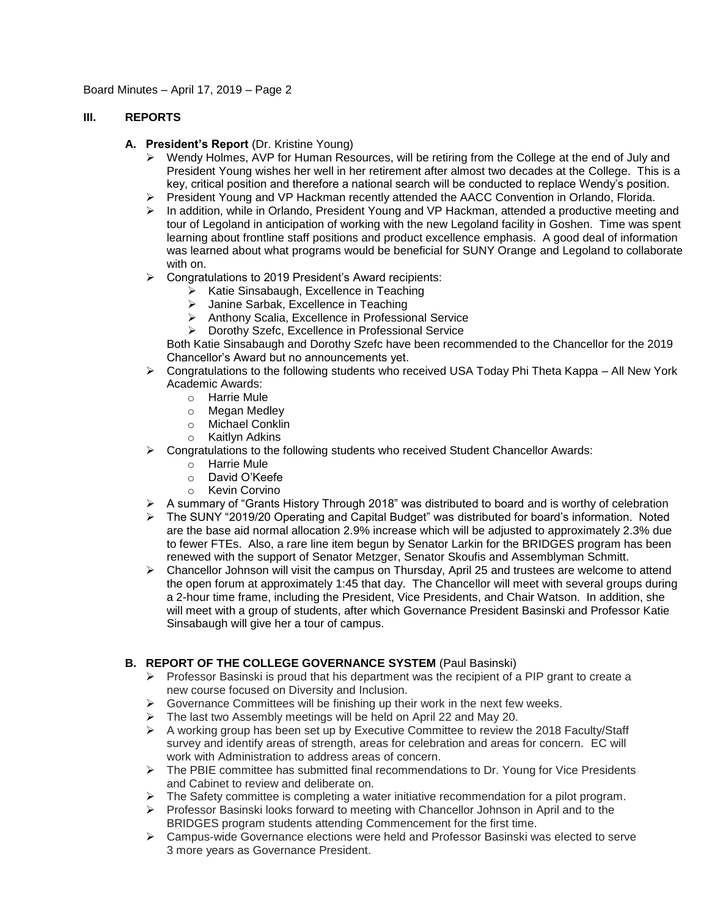Board Minutes – April 17, 2019 – Page 2

# **III. REPORTS**

# **A. President's Report** (Dr. Kristine Young)

- $\triangleright$  Wendy Holmes, AVP for Human Resources, will be retiring from the College at the end of July and President Young wishes her well in her retirement after almost two decades at the College. This is a key, critical position and therefore a national search will be conducted to replace Wendy's position.
- President Young and VP Hackman recently attended the AACC Convention in Orlando, Florida.
- $\triangleright$  In addition, while in Orlando, President Young and VP Hackman, attended a productive meeting and tour of Legoland in anticipation of working with the new Legoland facility in Goshen. Time was spent learning about frontline staff positions and product excellence emphasis. A good deal of information was learned about what programs would be beneficial for SUNY Orange and Legoland to collaborate with on.
- $\triangleright$  Congratulations to 2019 President's Award recipients:
	- $\triangleright$  Katie Sinsabaugh, Excellence in Teaching
	- $\triangleright$  Janine Sarbak, Excellence in Teaching
	- > Anthony Scalia, Excellence in Professional Service
	- ▶ Dorothy Szefc, Excellence in Professional Service

Both Katie Sinsabaugh and Dorothy Szefc have been recommended to the Chancellor for the 2019 Chancellor's Award but no announcements yet.

- $\triangleright$  Congratulations to the following students who received USA Today Phi Theta Kappa All New York Academic Awards:
	- o Harrie Mule
	- o Megan Medley
	- o Michael Conklin
	- o Kaitlyn Adkins
- $\triangleright$  Congratulations to the following students who received Student Chancellor Awards:
	- o Harrie Mule
	- o David O'Keefe
	- o Kevin Corvino
- $\triangleright$  A summary of "Grants History Through 2018" was distributed to board and is worthy of celebration
- The SUNY "2019/20 Operating and Capital Budget" was distributed for board's information. Noted are the base aid normal allocation 2.9% increase which will be adjusted to approximately 2.3% due to fewer FTEs. Also, a rare line item begun by Senator Larkin for the BRIDGES program has been renewed with the support of Senator Metzger, Senator Skoufis and Assemblyman Schmitt.
- $\triangleright$  Chancellor Johnson will visit the campus on Thursday, April 25 and trustees are welcome to attend the open forum at approximately 1:45 that day. The Chancellor will meet with several groups during a 2-hour time frame, including the President, Vice Presidents, and Chair Watson. In addition, she will meet with a group of students, after which Governance President Basinski and Professor Katie Sinsabaugh will give her a tour of campus.

## **B. REPORT OF THE COLLEGE GOVERNANCE SYSTEM** (Paul Basinski)

- $\triangleright$  Professor Basinski is proud that his department was the recipient of a PIP grant to create a new course focused on Diversity and Inclusion.
- $\triangleright$  Governance Committees will be finishing up their work in the next few weeks.
- $\triangleright$  The last two Assembly meetings will be held on April 22 and May 20.
- $\triangleright$  A working group has been set up by Executive Committee to review the 2018 Faculty/Staff survey and identify areas of strength, areas for celebration and areas for concern. EC will work with Administration to address areas of concern.
- $\triangleright$  The PBIE committee has submitted final recommendations to Dr. Young for Vice Presidents and Cabinet to review and deliberate on.
- $\triangleright$  The Safety committee is completing a water initiative recommendation for a pilot program.
- $\triangleright$  Professor Basinski looks forward to meeting with Chancellor Johnson in April and to the BRIDGES program students attending Commencement for the first time.
- Campus-wide Governance elections were held and Professor Basinski was elected to serve 3 more years as Governance President.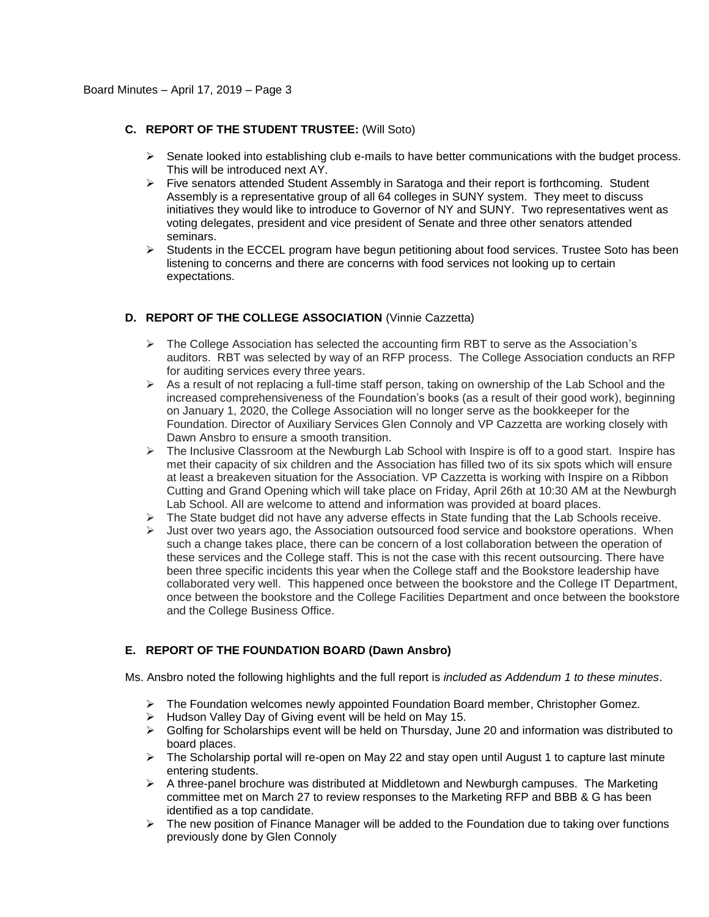# **C. REPORT OF THE STUDENT TRUSTEE:** (Will Soto)

- $\triangleright$  Senate looked into establishing club e-mails to have better communications with the budget process. This will be introduced next AY.
- $\triangleright$  Five senators attended Student Assembly in Saratoga and their report is forthcoming. Student Assembly is a representative group of all 64 colleges in SUNY system. They meet to discuss initiatives they would like to introduce to Governor of NY and SUNY. Two representatives went as voting delegates, president and vice president of Senate and three other senators attended seminars.
- $\triangleright$  Students in the ECCEL program have begun petitioning about food services. Trustee Soto has been listening to concerns and there are concerns with food services not looking up to certain expectations.

# **D. REPORT OF THE COLLEGE ASSOCIATION** (Vinnie Cazzetta)

- $\triangleright$  The College Association has selected the accounting firm RBT to serve as the Association's auditors. RBT was selected by way of an RFP process. The College Association conducts an RFP for auditing services every three years.
- $\triangleright$  As a result of not replacing a full-time staff person, taking on ownership of the Lab School and the increased comprehensiveness of the Foundation's books (as a result of their good work), beginning on January 1, 2020, the College Association will no longer serve as the bookkeeper for the Foundation. Director of Auxiliary Services Glen Connoly and VP Cazzetta are working closely with Dawn Ansbro to ensure a smooth transition.
- $\triangleright$  The Inclusive Classroom at the Newburgh Lab School with Inspire is off to a good start. Inspire has met their capacity of six children and the Association has filled two of its six spots which will ensure at least a breakeven situation for the Association. VP Cazzetta is working with Inspire on a Ribbon Cutting and Grand Opening which will take place on Friday, April 26th at 10:30 AM at the Newburgh Lab School. All are welcome to attend and information was provided at board places.
- $\triangleright$  The State budget did not have any adverse effects in State funding that the Lab Schools receive.
- $\triangleright$  Just over two years ago, the Association outsourced food service and bookstore operations. When such a change takes place, there can be concern of a lost collaboration between the operation of these services and the College staff. This is not the case with this recent outsourcing. There have been three specific incidents this year when the College staff and the Bookstore leadership have collaborated very well. This happened once between the bookstore and the College IT Department, once between the bookstore and the College Facilities Department and once between the bookstore and the College Business Office.

# **E. REPORT OF THE FOUNDATION BOARD (Dawn Ansbro)**

Ms. Ansbro noted the following highlights and the full report is *included as Addendum 1 to these minutes*.

- $\triangleright$  The Foundation welcomes newly appointed Foundation Board member, Christopher Gomez.
- Hudson Valley Day of Giving event will be held on May 15.
- $\triangleright$  Golfing for Scholarships event will be held on Thursday, June 20 and information was distributed to board places.
- $\triangleright$  The Scholarship portal will re-open on May 22 and stay open until August 1 to capture last minute entering students.
- $\triangleright$  A three-panel brochure was distributed at Middletown and Newburgh campuses. The Marketing committee met on March 27 to review responses to the Marketing RFP and BBB & G has been identified as a top candidate.
- $\triangleright$  The new position of Finance Manager will be added to the Foundation due to taking over functions previously done by Glen Connoly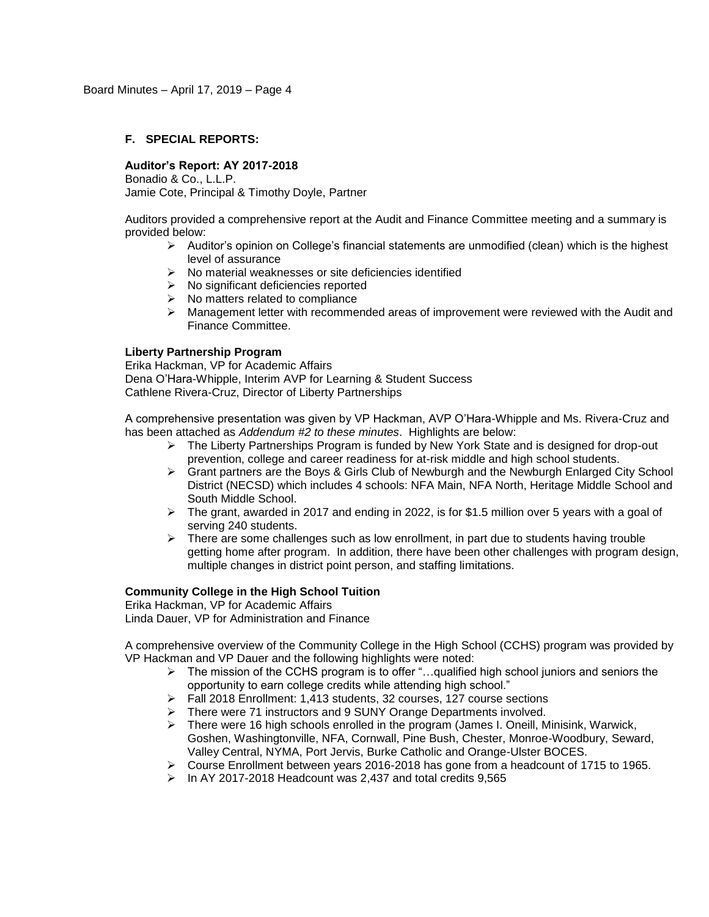## **F. SPECIAL REPORTS:**

#### **Auditor's Report: AY 2017-2018**

Bonadio & Co., L.L.P. Jamie Cote, Principal & Timothy Doyle, Partner

Auditors provided a comprehensive report at the Audit and Finance Committee meeting and a summary is provided below:

- $\triangleright$  Auditor's opinion on College's financial statements are unmodified (clean) which is the highest level of assurance
- $\triangleright$  No material weaknesses or site deficiencies identified
- $\geq$  No significant deficiencies reported<br> $\geq$  No matters related to compliance
- No matters related to compliance
- $\triangleright$  Management letter with recommended areas of improvement were reviewed with the Audit and Finance Committee.

#### **Liberty Partnership Program**

Erika Hackman, VP for Academic Affairs Dena O'Hara-Whipple, Interim AVP for Learning & Student Success Cathlene Rivera-Cruz, Director of Liberty Partnerships

A comprehensive presentation was given by VP Hackman, AVP O'Hara-Whipple and Ms. Rivera-Cruz and has been attached as *Addendum #2 to these minutes*. Highlights are below:

- $\triangleright$  The Liberty Partnerships Program is funded by New York State and is designed for drop-out prevention, college and career readiness for at-risk middle and high school students.
- $\triangleright$  Grant partners are the Boys & Girls Club of Newburgh and the Newburgh Enlarged City School District (NECSD) which includes 4 schools: NFA Main, NFA North, Heritage Middle School and South Middle School.
- $\triangleright$  The grant, awarded in 2017 and ending in 2022, is for \$1.5 million over 5 years with a goal of serving 240 students.
- $\triangleright$  There are some challenges such as low enrollment, in part due to students having trouble getting home after program. In addition, there have been other challenges with program design, multiple changes in district point person, and staffing limitations.

#### **Community College in the High School Tuition**

Erika Hackman, VP for Academic Affairs

Linda Dauer, VP for Administration and Finance

A comprehensive overview of the Community College in the High School (CCHS) program was provided by VP Hackman and VP Dauer and the following highlights were noted:

- $\triangleright$  The mission of the CCHS program is to offer "...qualified high school juniors and seniors the opportunity to earn college credits while attending high school."
- Fall 2018 Enrollment: 1,413 students, 32 courses, 127 course sections
- $\triangleright$  There were 71 instructors and 9 SUNY Orange Departments involved.
- $\triangleright$  There were 16 high schools enrolled in the program (James I. Oneill, Minisink, Warwick, Goshen, Washingtonville, NFA, Cornwall, Pine Bush, Chester, Monroe-Woodbury, Seward, Valley Central, NYMA, Port Jervis, Burke Catholic and Orange-Ulster BOCES.
- $\triangleright$  Course Enrollment between years 2016-2018 has gone from a headcount of 1715 to 1965.
- $\triangleright$  In AY 2017-2018 Headcount was 2,437 and total credits 9,565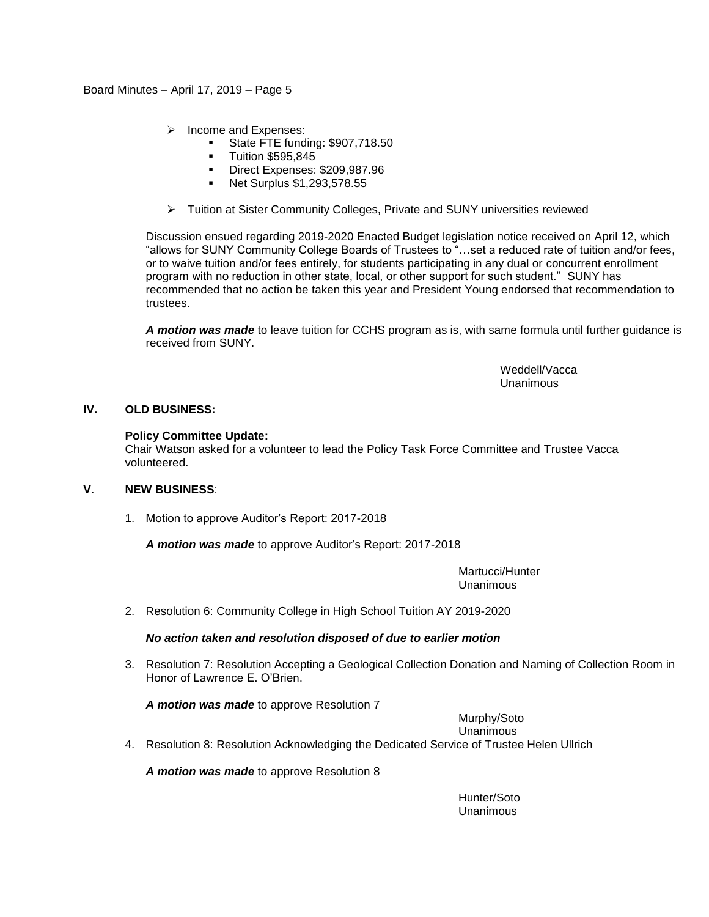- $\triangleright$  Income and Expenses:
	- **State FTE funding: \$907,718.50**
	- Tuition \$595,845
	- Direct Expenses: \$209,987.96
	- **Net Surplus \$1,293,578.55**
- Tuition at Sister Community Colleges, Private and SUNY universities reviewed

Discussion ensued regarding 2019-2020 Enacted Budget legislation notice received on April 12, which "allows for SUNY Community College Boards of Trustees to "…set a reduced rate of tuition and/or fees, or to waive tuition and/or fees entirely, for students participating in any dual or concurrent enrollment program with no reduction in other state, local, or other support for such student." SUNY has recommended that no action be taken this year and President Young endorsed that recommendation to trustees.

*A motion was made* to leave tuition for CCHS program as is, with same formula until further guidance is received from SUNY.

> Weddell/Vacca Unanimous

## **IV. OLD BUSINESS:**

## **Policy Committee Update:**

Chair Watson asked for a volunteer to lead the Policy Task Force Committee and Trustee Vacca volunteered.

#### **V. NEW BUSINESS**:

1. Motion to approve Auditor's Report: 2017-2018

*A motion was made* to approve Auditor's Report: 2017-2018

Martucci/Hunter Unanimous

2. Resolution 6: Community College in High School Tuition AY 2019-2020

*No action taken and resolution disposed of due to earlier motion*

3. Resolution 7: Resolution Accepting a Geological Collection Donation and Naming of Collection Room in Honor of Lawrence E. O'Brien.

*A motion was made* to approve Resolution 7

Murphy/Soto

Unanimous

4. Resolution 8: Resolution Acknowledging the Dedicated Service of Trustee Helen Ullrich

*A motion was made* to approve Resolution 8

Hunter/Soto Unanimous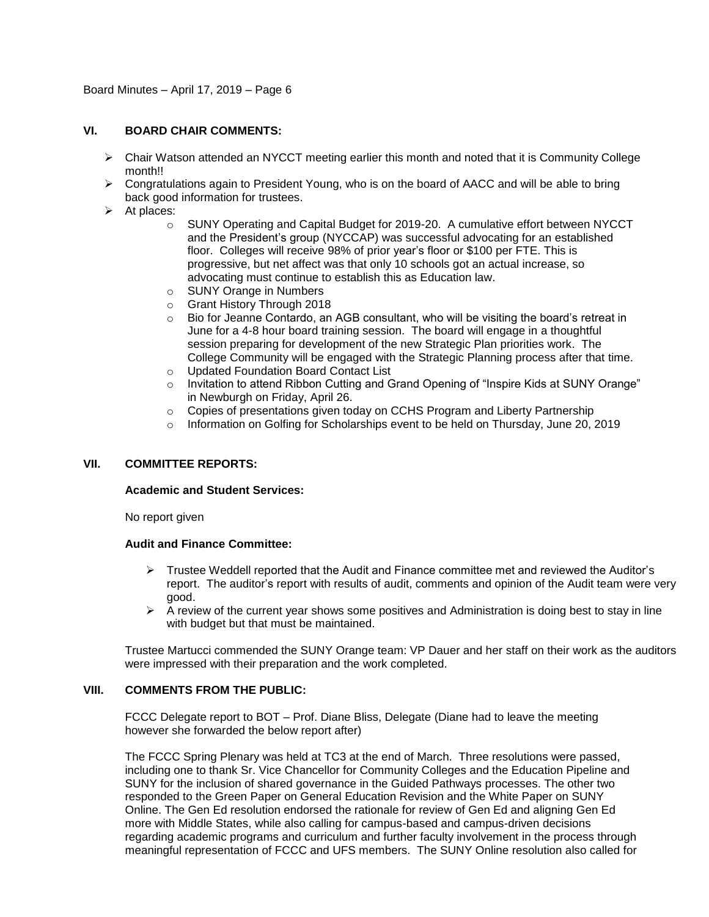Board Minutes – April 17, 2019 – Page 6

## **VI. BOARD CHAIR COMMENTS:**

- $\triangleright$  Chair Watson attended an NYCCT meeting earlier this month and noted that it is Community College month!!
- $\triangleright$  Congratulations again to President Young, who is on the board of AACC and will be able to bring back good information for trustees.
- $\triangleright$  At places:
	- o SUNY Operating and Capital Budget for 2019-20. A cumulative effort between NYCCT and the President's group (NYCCAP) was successful advocating for an established floor. Colleges will receive 98% of prior year's floor or \$100 per FTE. This is progressive, but net affect was that only 10 schools got an actual increase, so advocating must continue to establish this as Education law.
	- o SUNY Orange in Numbers
	- o Grant History Through 2018
	- $\circ$  Bio for Jeanne Contardo, an AGB consultant, who will be visiting the board's retreat in June for a 4-8 hour board training session. The board will engage in a thoughtful session preparing for development of the new Strategic Plan priorities work. The College Community will be engaged with the Strategic Planning process after that time.
	- o Updated Foundation Board Contact List
	- o Invitation to attend Ribbon Cutting and Grand Opening of "Inspire Kids at SUNY Orange" in Newburgh on Friday, April 26.
	- o Copies of presentations given today on CCHS Program and Liberty Partnership
	- $\circ$  Information on Golfing for Scholarships event to be held on Thursday, June 20, 2019

## **VII. COMMITTEE REPORTS:**

## **Academic and Student Services:**

No report given

#### **Audit and Finance Committee:**

- $\triangleright$  Trustee Weddell reported that the Audit and Finance committee met and reviewed the Auditor's report. The auditor's report with results of audit, comments and opinion of the Audit team were very good.
- $\triangleright$  A review of the current year shows some positives and Administration is doing best to stay in line with budget but that must be maintained.

Trustee Martucci commended the SUNY Orange team: VP Dauer and her staff on their work as the auditors were impressed with their preparation and the work completed.

## **VIII. COMMENTS FROM THE PUBLIC:**

FCCC Delegate report to BOT – Prof. Diane Bliss, Delegate (Diane had to leave the meeting however she forwarded the below report after)

The FCCC Spring Plenary was held at TC3 at the end of March. Three resolutions were passed, including one to thank Sr. Vice Chancellor for Community Colleges and the Education Pipeline and SUNY for the inclusion of shared governance in the Guided Pathways processes. The other two responded to the Green Paper on General Education Revision and the White Paper on SUNY Online. The Gen Ed resolution endorsed the rationale for review of Gen Ed and aligning Gen Ed more with Middle States, while also calling for campus-based and campus-driven decisions regarding academic programs and curriculum and further faculty involvement in the process through meaningful representation of FCCC and UFS members. The SUNY Online resolution also called for